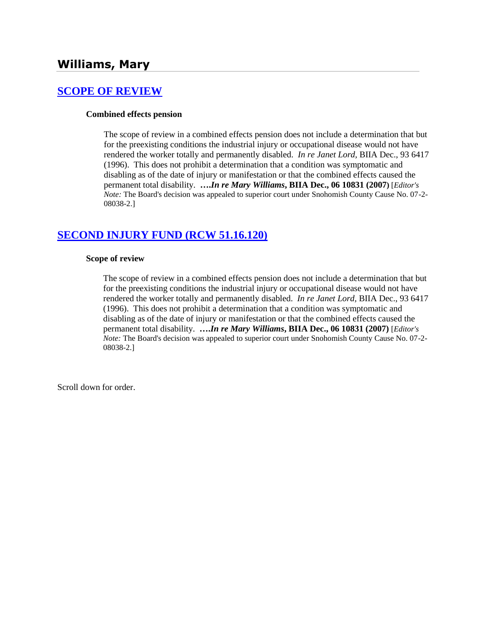# **Williams, Mary**

## **[SCOPE OF REVIEW](http://www.biia.wa.gov/SDSubjectIndex.html#SCOPE_OF_REVIEW)**

#### **Combined effects pension**

The scope of review in a combined effects pension does not include a determination that but for the preexisting conditions the industrial injury or occupational disease would not have rendered the worker totally and permanently disabled. *In re Janet Lord,* BIIA Dec., 93 6417 (1996). This does not prohibit a determination that a condition was symptomatic and disabling as of the date of injury or manifestation or that the combined effects caused the permanent total disability. **….***In re Mary Williams***, BIIA Dec., 06 10831 (2007)** [*Editor's Note:* The Board's decision was appealed to superior court under Snohomish County Cause No. 07-2- 08038-2.]

## **[SECOND INJURY FUND \(RCW 51.16.120\)](http://www.biia.wa.gov/SDSubjectIndex.html#SECOND_INJURY_FUND)**

#### **Scope of review**

The scope of review in a combined effects pension does not include a determination that but for the preexisting conditions the industrial injury or occupational disease would not have rendered the worker totally and permanently disabled. *In re Janet Lord,* BIIA Dec., 93 6417 (1996). This does not prohibit a determination that a condition was symptomatic and disabling as of the date of injury or manifestation or that the combined effects caused the permanent total disability. **….***In re Mary Williams***, BIIA Dec., 06 10831 (2007)** [*Editor's Note:* The Board's decision was appealed to superior court under Snohomish County Cause No. 07-2- 08038-2.]

Scroll down for order.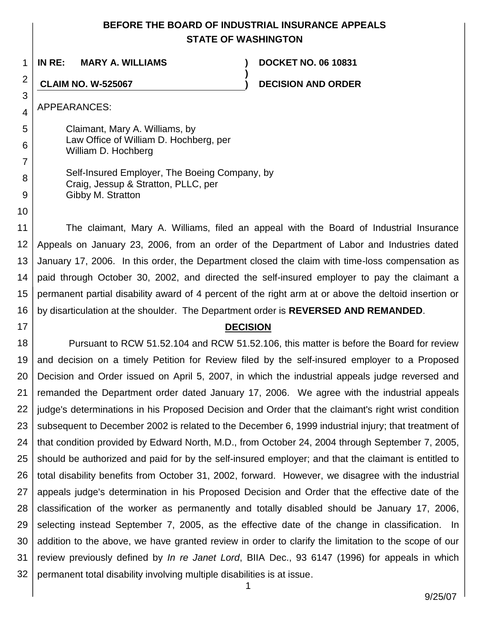# **BEFORE THE BOARD OF INDUSTRIAL INSURANCE APPEALS STATE OF WASHINGTON**

**)**

1 **IN RE: MARY A. WILLIAMS ) DOCKET NO. 06 10831**

**CLAIM NO. W-525067 ) DECISION AND ORDER**

APPEARANCES:

2

3

4

5

6

7

8

9

10

17

Claimant, Mary A. Williams, by Law Office of William D. Hochberg, per William D. Hochberg

| Self-Insured Employer, The Boeing Company, by |
|-----------------------------------------------|
| Craig, Jessup & Stratton, PLLC, per           |
| Gibby M. Stratton                             |

11 12 13 14 15 16 The claimant, Mary A. Williams, filed an appeal with the Board of Industrial Insurance Appeals on January 23, 2006, from an order of the Department of Labor and Industries dated January 17, 2006. In this order, the Department closed the claim with time-loss compensation as paid through October 30, 2002, and directed the self-insured employer to pay the claimant a permanent partial disability award of 4 percent of the right arm at or above the deltoid insertion or by disarticulation at the shoulder. The Department order is **REVERSED AND REMANDED**.

# **DECISION**

18 19 20 21 22 23 24 25 26 27 28 29 30 31 32 Pursuant to RCW 51.52.104 and RCW 51.52.106, this matter is before the Board for review and decision on a timely Petition for Review filed by the self-insured employer to a Proposed Decision and Order issued on April 5, 2007, in which the industrial appeals judge reversed and remanded the Department order dated January 17, 2006. We agree with the industrial appeals judge's determinations in his Proposed Decision and Order that the claimant's right wrist condition subsequent to December 2002 is related to the December 6, 1999 industrial injury; that treatment of that condition provided by Edward North, M.D., from October 24, 2004 through September 7, 2005, should be authorized and paid for by the self-insured employer; and that the claimant is entitled to total disability benefits from October 31, 2002, forward. However, we disagree with the industrial appeals judge's determination in his Proposed Decision and Order that the effective date of the classification of the worker as permanently and totally disabled should be January 17, 2006, selecting instead September 7, 2005, as the effective date of the change in classification. In addition to the above, we have granted review in order to clarify the limitation to the scope of our review previously defined by *In re Janet Lord*, BIIA Dec., 93 6147 (1996) for appeals in which permanent total disability involving multiple disabilities is at issue.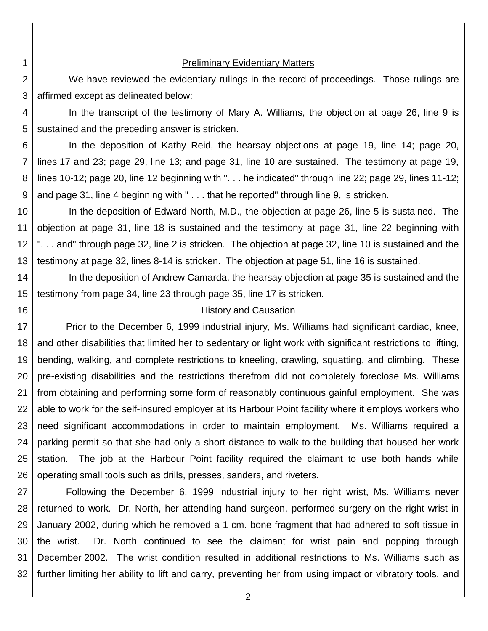### Preliminary Evidentiary Matters

We have reviewed the evidentiary rulings in the record of proceedings. Those rulings are affirmed except as delineated below:

4 5 In the transcript of the testimony of Mary A. Williams, the objection at page 26, line 9 is sustained and the preceding answer is stricken.

6 7 8 9 In the deposition of Kathy Reid, the hearsay objections at page 19, line 14; page 20, lines 17 and 23; page 29, line 13; and page 31, line 10 are sustained. The testimony at page 19, lines 10-12; page 20, line 12 beginning with ". . . he indicated" through line 22; page 29, lines 11-12; and page 31, line 4 beginning with " . . . that he reported" through line 9, is stricken.

10 11 12 13 In the deposition of Edward North, M.D., the objection at page 26, line 5 is sustained. The objection at page 31, line 18 is sustained and the testimony at page 31, line 22 beginning with ". . . and" through page 32, line 2 is stricken. The objection at page 32, line 10 is sustained and the testimony at page 32, lines 8-14 is stricken. The objection at page 51, line 16 is sustained.

14 15 In the deposition of Andrew Camarda, the hearsay objection at page 35 is sustained and the testimony from page 34, line 23 through page 35, line 17 is stricken.

### History and Causation

17 18 19 20 21 22 23 24 25 26 Prior to the December 6, 1999 industrial injury, Ms. Williams had significant cardiac, knee, and other disabilities that limited her to sedentary or light work with significant restrictions to lifting, bending, walking, and complete restrictions to kneeling, crawling, squatting, and climbing. These pre-existing disabilities and the restrictions therefrom did not completely foreclose Ms. Williams from obtaining and performing some form of reasonably continuous gainful employment. She was able to work for the self-insured employer at its Harbour Point facility where it employs workers who need significant accommodations in order to maintain employment. Ms. Williams required a parking permit so that she had only a short distance to walk to the building that housed her work station. The job at the Harbour Point facility required the claimant to use both hands while operating small tools such as drills, presses, sanders, and riveters.

27 28 29 30 31 32 Following the December 6, 1999 industrial injury to her right wrist, Ms. Williams never returned to work. Dr. North, her attending hand surgeon, performed surgery on the right wrist in January 2002, during which he removed a 1 cm. bone fragment that had adhered to soft tissue in the wrist. Dr. North continued to see the claimant for wrist pain and popping through December 2002. The wrist condition resulted in additional restrictions to Ms. Williams such as further limiting her ability to lift and carry, preventing her from using impact or vibratory tools, and

2 3

16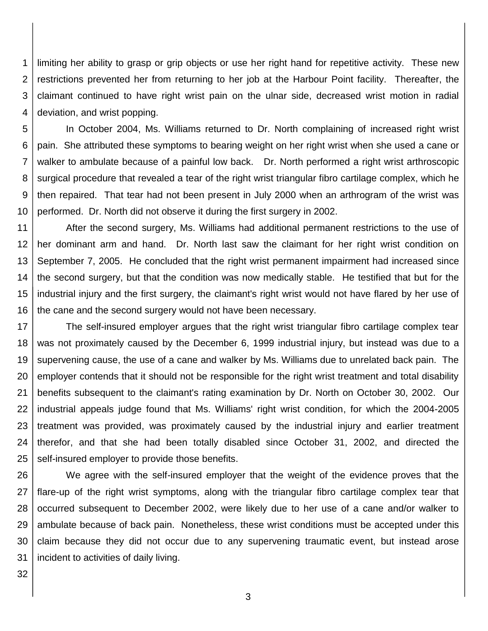1 2 3 4 limiting her ability to grasp or grip objects or use her right hand for repetitive activity. These new restrictions prevented her from returning to her job at the Harbour Point facility. Thereafter, the claimant continued to have right wrist pain on the ulnar side, decreased wrist motion in radial deviation, and wrist popping.

5 6 7 8 9 10 In October 2004, Ms. Williams returned to Dr. North complaining of increased right wrist pain. She attributed these symptoms to bearing weight on her right wrist when she used a cane or walker to ambulate because of a painful low back. Dr. North performed a right wrist arthroscopic surgical procedure that revealed a tear of the right wrist triangular fibro cartilage complex, which he then repaired. That tear had not been present in July 2000 when an arthrogram of the wrist was performed. Dr. North did not observe it during the first surgery in 2002.

11 12 13 14 15 16 After the second surgery, Ms. Williams had additional permanent restrictions to the use of her dominant arm and hand. Dr. North last saw the claimant for her right wrist condition on September 7, 2005. He concluded that the right wrist permanent impairment had increased since the second surgery, but that the condition was now medically stable. He testified that but for the industrial injury and the first surgery, the claimant's right wrist would not have flared by her use of the cane and the second surgery would not have been necessary.

17 18 19 20 21 22 23 24 25 The self-insured employer argues that the right wrist triangular fibro cartilage complex tear was not proximately caused by the December 6, 1999 industrial injury, but instead was due to a supervening cause, the use of a cane and walker by Ms. Williams due to unrelated back pain. The employer contends that it should not be responsible for the right wrist treatment and total disability benefits subsequent to the claimant's rating examination by Dr. North on October 30, 2002. Our industrial appeals judge found that Ms. Williams' right wrist condition, for which the 2004-2005 treatment was provided, was proximately caused by the industrial injury and earlier treatment therefor, and that she had been totally disabled since October 31, 2002, and directed the self-insured employer to provide those benefits.

26 27 28 29 30 31 We agree with the self-insured employer that the weight of the evidence proves that the flare-up of the right wrist symptoms, along with the triangular fibro cartilage complex tear that occurred subsequent to December 2002, were likely due to her use of a cane and/or walker to ambulate because of back pain. Nonetheless, these wrist conditions must be accepted under this claim because they did not occur due to any supervening traumatic event, but instead arose incident to activities of daily living.

32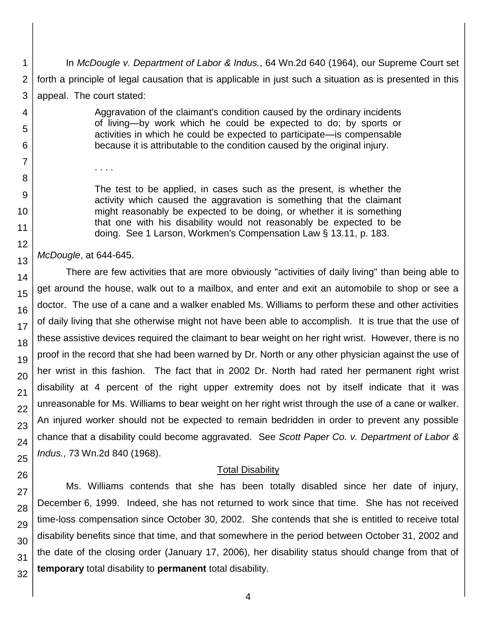In *McDougle v. Department of Labor & Indus.*, 64 Wn.2d 640 (1964), our Supreme Court set forth a principle of legal causation that is applicable in just such a situation as is presented in this appeal. The court stated:

> Aggravation of the claimant's condition caused by the ordinary incidents of living—by work which he could be expected to do; by sports or activities in which he could be expected to participate—is compensable because it is attributable to the condition caused by the original injury.

The test to be applied, in cases such as the present, is whether the activity which caused the aggravation is something that the claimant might reasonably be expected to be doing, or whether it is something that one with his disability would not reasonably be expected to be doing. See 1 Larson, Workmen's Compensation Law § 13.11, p. 183.

*McDougle*, at 644-645.

. . . .

There are few activities that are more obviously "activities of daily living" than being able to get around the house, walk out to a mailbox, and enter and exit an automobile to shop or see a doctor. The use of a cane and a walker enabled Ms. Williams to perform these and other activities of daily living that she otherwise might not have been able to accomplish. It is true that the use of these assistive devices required the claimant to bear weight on her right wrist. However, there is no proof in the record that she had been warned by Dr. North or any other physician against the use of her wrist in this fashion. The fact that in 2002 Dr. North had rated her permanent right wrist disability at 4 percent of the right upper extremity does not by itself indicate that it was unreasonable for Ms. Williams to bear weight on her right wrist through the use of a cane or walker. An injured worker should not be expected to remain bedridden in order to prevent any possible chance that a disability could become aggravated. See *Scott Paper Co. v. Department of Labor & Indus.*, 73 Wn.2d 840 (1968).

### Total Disability

Ms. Williams contends that she has been totally disabled since her date of injury, December 6, 1999. Indeed, she has not returned to work since that time. She has not received time-loss compensation since October 30, 2002. She contends that she is entitled to receive total disability benefits since that time, and that somewhere in the period between October 31, 2002 and the date of the closing order (January 17, 2006), her disability status should change from that of **temporary** total disability to **permanent** total disability.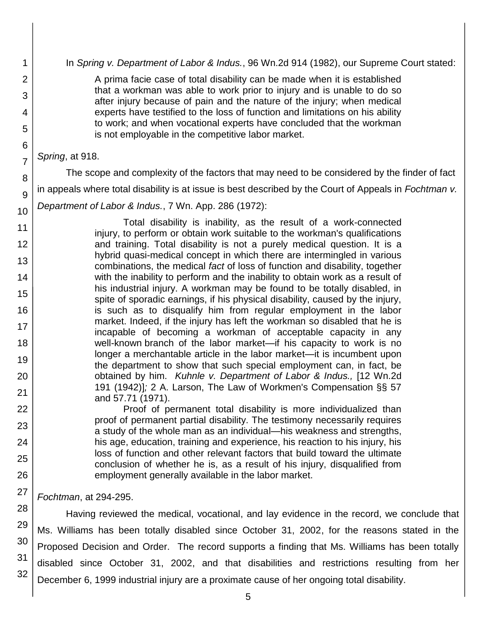In *Spring v. Department of Labor & Indus.*, 96 Wn.2d 914 (1982), our Supreme Court stated:

A prima facie case of total disability can be made when it is established that a workman was able to work prior to injury and is unable to do so after injury because of pain and the nature of the injury; when medical experts have testified to the loss of function and limitations on his ability to work; and when vocational experts have concluded that the workman is not employable in the competitive labor market.

### *Spring*, at 918.

1

2

3

4

5

6

7

8

9

10

11 12

13

14

15

16

17 18

19

20

21 22

23

24

25

26

27

The scope and complexity of the factors that may need to be considered by the finder of fact in appeals where total disability is at issue is best described by the Court of Appeals in *Fochtman v. Department of Labor & Indus.*, 7 Wn. App. 286 (1972):

Total disability is inability, as the result of a work-connected injury, to perform or obtain work suitable to the workman's qualifications and training. Total disability is not a purely medical question. It is a hybrid quasi-medical concept in which there are intermingled in various combinations, the medical *fact* of loss of function and disability, together with the inability to perform and the inability to obtain work as a result of his industrial injury. A workman may be found to be totally disabled, in spite of sporadic earnings, if his physical disability, caused by the injury, is such as to disqualify him from regular employment in the labor market. Indeed, if the injury has left the workman so disabled that he is incapable of becoming a workman of acceptable capacity in any well-known branch of the labor market—if his capacity to work is no longer a merchantable article in the labor market—it is incumbent upon the department to show that such special employment can, in fact, be obtained by him. *Kuhnle v. Department of Labor & Indus.,* [12 Wn.2d 191 (1942)]*;* 2 A. Larson, The Law of Workmen's Compensation §§ 57 and 57.71 (1971).

Proof of permanent total disability is more individualized than proof of permanent partial disability. The testimony necessarily requires a study of the whole man as an individual—his weakness and strengths, his age, education, training and experience, his reaction to his injury, his loss of function and other relevant factors that build toward the ultimate conclusion of whether he is, as a result of his injury, disqualified from employment generally available in the labor market.

*Fochtman*, at 294-295.

28 29 30 31 32 Having reviewed the medical, vocational, and lay evidence in the record, we conclude that Ms. Williams has been totally disabled since October 31, 2002, for the reasons stated in the Proposed Decision and Order. The record supports a finding that Ms. Williams has been totally disabled since October 31, 2002, and that disabilities and restrictions resulting from her December 6, 1999 industrial injury are a proximate cause of her ongoing total disability.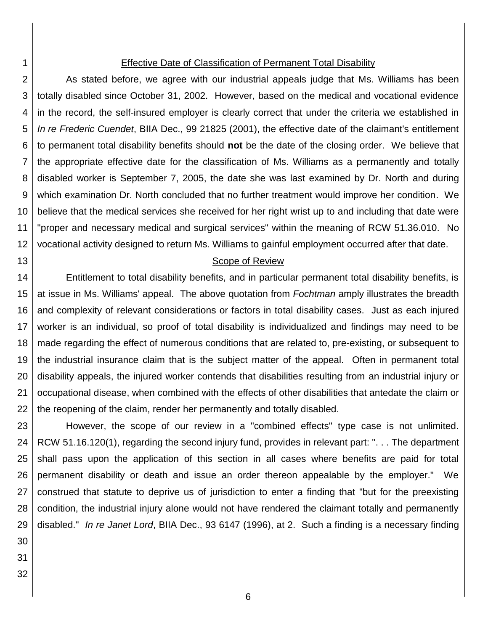### Effective Date of Classification of Permanent Total Disability

2 3 4 5 6 7 8 9 10 11 12 As stated before, we agree with our industrial appeals judge that Ms. Williams has been totally disabled since October 31, 2002. However, based on the medical and vocational evidence in the record, the self-insured employer is clearly correct that under the criteria we established in *In re Frederic Cuendet*, BIIA Dec., 99 21825 (2001), the effective date of the claimant's entitlement to permanent total disability benefits should **not** be the date of the closing order. We believe that the appropriate effective date for the classification of Ms. Williams as a permanently and totally disabled worker is September 7, 2005, the date she was last examined by Dr. North and during which examination Dr. North concluded that no further treatment would improve her condition. We believe that the medical services she received for her right wrist up to and including that date were "proper and necessary medical and surgical services" within the meaning of RCW 51.36.010. No vocational activity designed to return Ms. Williams to gainful employment occurred after that date.

#### Scope of Review

14 15 16 17 18 19 20 21 22 Entitlement to total disability benefits, and in particular permanent total disability benefits, is at issue in Ms. Williams' appeal. The above quotation from *Fochtman* amply illustrates the breadth and complexity of relevant considerations or factors in total disability cases. Just as each injured worker is an individual, so proof of total disability is individualized and findings may need to be made regarding the effect of numerous conditions that are related to, pre-existing, or subsequent to the industrial insurance claim that is the subject matter of the appeal. Often in permanent total disability appeals, the injured worker contends that disabilities resulting from an industrial injury or occupational disease, when combined with the effects of other disabilities that antedate the claim or the reopening of the claim, render her permanently and totally disabled.

23 24 25 26 27 28 29 However, the scope of our review in a "combined effects" type case is not unlimited. RCW 51.16.120(1), regarding the second injury fund, provides in relevant part: ". . . The department shall pass upon the application of this section in all cases where benefits are paid for total permanent disability or death and issue an order thereon appealable by the employer." We construed that statute to deprive us of jurisdiction to enter a finding that "but for the preexisting condition, the industrial injury alone would not have rendered the claimant totally and permanently disabled." *In re Janet Lord*, BIIA Dec., 93 6147 (1996), at 2. Such a finding is a necessary finding

30

1

13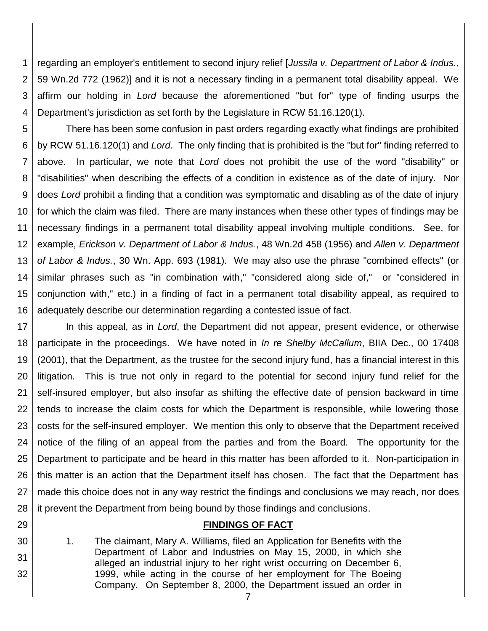1 2 3 4 regarding an employer's entitlement to second injury relief [*Jussila v. Department of Labor & Indus.*, 59 Wn.2d 772 (1962)] and it is not a necessary finding in a permanent total disability appeal. We affirm our holding in *Lord* because the aforementioned "but for" type of finding usurps the Department's jurisdiction as set forth by the Legislature in RCW 51.16.120(1).

5 6 7 8 9 10 11 12 13 14 15 16 There has been some confusion in past orders regarding exactly what findings are prohibited by RCW 51.16.120(1) and *Lord*. The only finding that is prohibited is the "but for" finding referred to above. In particular, we note that *Lord* does not prohibit the use of the word "disability" or "disabilities" when describing the effects of a condition in existence as of the date of injury. Nor does *Lord* prohibit a finding that a condition was symptomatic and disabling as of the date of injury for which the claim was filed. There are many instances when these other types of findings may be necessary findings in a permanent total disability appeal involving multiple conditions. See, for example, *Erickson v. Department of Labor & Indus.*, 48 Wn.2d 458 (1956) and *Allen v. Department of Labor & Indus.*, 30 Wn. App. 693 (1981). We may also use the phrase "combined effects" (or similar phrases such as "in combination with," "considered along side of," or "considered in conjunction with," etc.) in a finding of fact in a permanent total disability appeal, as required to adequately describe our determination regarding a contested issue of fact.

17 18 19 20 21 22 23 24 25 26 27 28 In this appeal, as in *Lord*, the Department did not appear, present evidence, or otherwise participate in the proceedings. We have noted in *In re Shelby McCallum*, BIIA Dec., 00 17408 (2001), that the Department, as the trustee for the second injury fund, has a financial interest in this litigation. This is true not only in regard to the potential for second injury fund relief for the self-insured employer, but also insofar as shifting the effective date of pension backward in time tends to increase the claim costs for which the Department is responsible, while lowering those costs for the self-insured employer. We mention this only to observe that the Department received notice of the filing of an appeal from the parties and from the Board. The opportunity for the Department to participate and be heard in this matter has been afforded to it. Non-participation in this matter is an action that the Department itself has chosen. The fact that the Department has made this choice does not in any way restrict the findings and conclusions we may reach, nor does it prevent the Department from being bound by those findings and conclusions.

- 29
- 30
- 31

32

## **FINDINGS OF FACT**

- 1. The claimant, Mary A. Williams, filed an Application for Benefits with the Department of Labor and Industries on May 15, 2000, in which she alleged an industrial injury to her right wrist occurring on December 6, 1999, while acting in the course of her employment for The Boeing Company. On September 8, 2000, the Department issued an order in
	- 7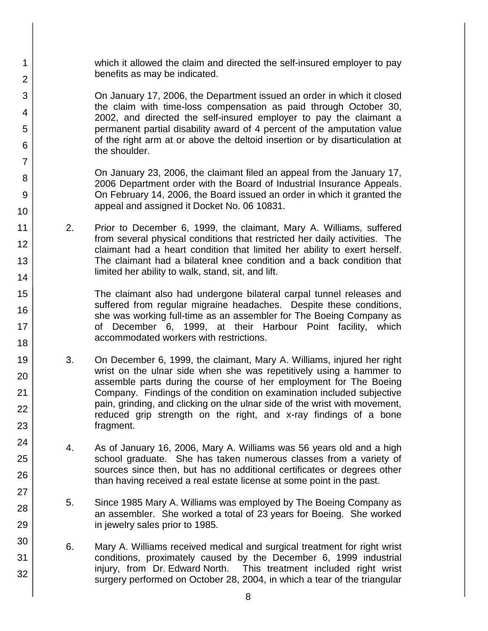which it allowed the claim and directed the self-insured employer to pay benefits as may be indicated.

1

2

3

4

5

6

7

8

9

10

11

12

13

14

15

16

17 18

19

20

21 22

23

24

25

26

27

28

29

30

31

32

On January 17, 2006, the Department issued an order in which it closed the claim with time-loss compensation as paid through October 30, 2002, and directed the self-insured employer to pay the claimant a permanent partial disability award of 4 percent of the amputation value of the right arm at or above the deltoid insertion or by disarticulation at the shoulder.

On January 23, 2006, the claimant filed an appeal from the January 17, 2006 Department order with the Board of Industrial Insurance Appeals. On February 14, 2006, the Board issued an order in which it granted the appeal and assigned it Docket No. 06 10831.

2. Prior to December 6, 1999, the claimant, Mary A. Williams, suffered from several physical conditions that restricted her daily activities. The claimant had a heart condition that limited her ability to exert herself. The claimant had a bilateral knee condition and a back condition that limited her ability to walk, stand, sit, and lift.

The claimant also had undergone bilateral carpal tunnel releases and suffered from regular migraine headaches. Despite these conditions, she was working full-time as an assembler for The Boeing Company as of December 6, 1999, at their Harbour Point facility, which accommodated workers with restrictions.

- 3. On December 6, 1999, the claimant, Mary A. Williams, injured her right wrist on the ulnar side when she was repetitively using a hammer to assemble parts during the course of her employment for The Boeing Company. Findings of the condition on examination included subjective pain, grinding, and clicking on the ulnar side of the wrist with movement, reduced grip strength on the right, and x-ray findings of a bone fragment.
- 4. As of January 16, 2006, Mary A. Williams was 56 years old and a high school graduate. She has taken numerous classes from a variety of sources since then, but has no additional certificates or degrees other than having received a real estate license at some point in the past.
- 5. Since 1985 Mary A. Williams was employed by The Boeing Company as an assembler. She worked a total of 23 years for Boeing. She worked in jewelry sales prior to 1985.
- 6. Mary A. Williams received medical and surgical treatment for right wrist conditions, proximately caused by the December 6, 1999 industrial injury, from Dr. Edward North. This treatment included right wrist surgery performed on October 28, 2004, in which a tear of the triangular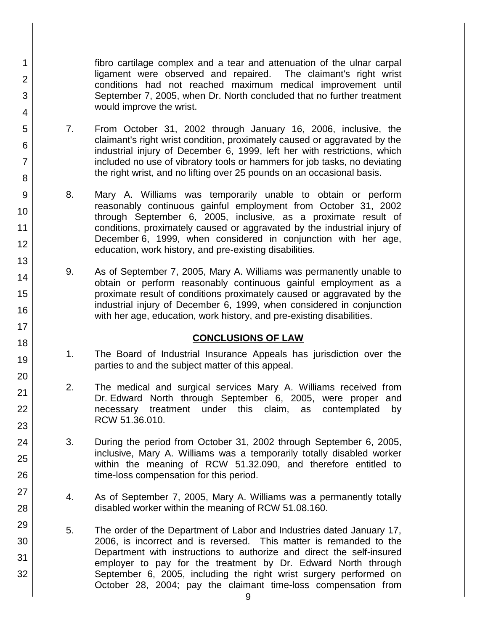fibro cartilage complex and a tear and attenuation of the ulnar carpal ligament were observed and repaired. The claimant's right wrist conditions had not reached maximum medical improvement until September 7, 2005, when Dr. North concluded that no further treatment would improve the wrist.

7. From October 31, 2002 through January 16, 2006, inclusive, the claimant's right wrist condition, proximately caused or aggravated by the industrial injury of December 6, 1999, left her with restrictions, which included no use of vibratory tools or hammers for job tasks, no deviating the right wrist, and no lifting over 25 pounds on an occasional basis.

1

2

3

4

5

6

7

8

9

10

11

12

13

14

15

16

17

18

19

20

21 22

23

24

25

26

27

28

29

30

31

32

- 8. Mary A. Williams was temporarily unable to obtain or perform reasonably continuous gainful employment from October 31, 2002 through September 6, 2005, inclusive, as a proximate result of conditions, proximately caused or aggravated by the industrial injury of December 6, 1999, when considered in conjunction with her age, education, work history, and pre-existing disabilities.
- 9. As of September 7, 2005, Mary A. Williams was permanently unable to obtain or perform reasonably continuous gainful employment as a proximate result of conditions proximately caused or aggravated by the industrial injury of December 6, 1999, when considered in conjunction with her age, education, work history, and pre-existing disabilities.

# **CONCLUSIONS OF LAW**

- 1. The Board of Industrial Insurance Appeals has jurisdiction over the parties to and the subject matter of this appeal.
- 2. The medical and surgical services Mary A. Williams received from Dr. Edward North through September 6, 2005, were proper and necessary treatment under this claim, as contemplated by RCW 51.36.010.
- 3. During the period from October 31, 2002 through September 6, 2005, inclusive, Mary A. Williams was a temporarily totally disabled worker within the meaning of RCW 51.32.090, and therefore entitled to time-loss compensation for this period.
- 4. As of September 7, 2005, Mary A. Williams was a permanently totally disabled worker within the meaning of RCW 51.08.160.
- 5. The order of the Department of Labor and Industries dated January 17, 2006, is incorrect and is reversed. This matter is remanded to the Department with instructions to authorize and direct the self-insured employer to pay for the treatment by Dr. Edward North through September 6, 2005, including the right wrist surgery performed on October 28, 2004; pay the claimant time-loss compensation from